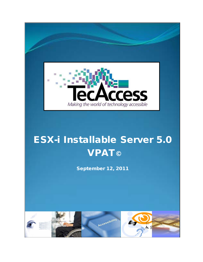

# ESX-i Installable Server 5.0 **VPAT©**

September 12, 2011

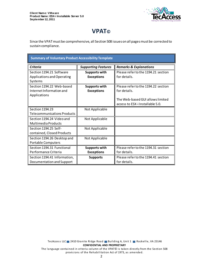

# **VPAT©**

Since the VPAT must be comprehensive, all Section 508 issues on all pages must be corrected to sustain compliance.

| <b>Summary of Voluntary Product Accessibility Template</b> |                            |                                     |  |
|------------------------------------------------------------|----------------------------|-------------------------------------|--|
| <b>Criteria</b>                                            | <b>Supporting Features</b> | <b>Remarks &amp; Explanations</b>   |  |
| Section 1194.21 Software                                   | <b>Supports with</b>       | Please refer to the 1194.21 section |  |
| Applications and Operating                                 | <b>Exceptions</b>          | for details.                        |  |
| Systems                                                    |                            |                                     |  |
| Section 1194.22 Web-based                                  | <b>Supports with</b>       | Please refer to the 1194.22 section |  |
| Internet Information and                                   | <b>Exceptions</b>          | for details.                        |  |
| Applications                                               |                            |                                     |  |
|                                                            |                            | The Web-based GUI allows limited    |  |
|                                                            |                            | access to ESX-i Installable 5.0.    |  |
| Section 1194.23                                            | Not Applicable             |                                     |  |
| <b>Telecommunications Products</b>                         |                            |                                     |  |
| Section 1194.24 Video and                                  | Not Applicable             |                                     |  |
| Multimedia Products                                        |                            |                                     |  |
| Section 1194.25 Self-                                      | Not Applicable             |                                     |  |
| contained, Closed Products                                 |                            |                                     |  |
| Section 1194.26 Desktop and                                | Not Applicable             |                                     |  |
| <b>Portable Computers</b>                                  |                            |                                     |  |
| Section 1194.31 Functional                                 | <b>Supports with</b>       | Please refer to the 1194.31 section |  |
| Performance Criteria                                       | <b>Exceptions</b>          | for details.                        |  |
| Section 1194.41 Information,                               | <b>Supports</b>            | Please refer to the 1194.41 section |  |
| Documentation and Support                                  |                            | for details.                        |  |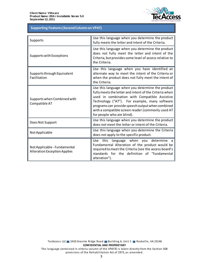

# **Table 1: Supporting Features (Second Column on VPAT) Supporting Features (Second Column on VPAT)**

| Supports                                                            | Use this language when you determine the product<br>fully meets the letter and intent of the Criteria.                                                                                                                                                                                                                                              |
|---------------------------------------------------------------------|-----------------------------------------------------------------------------------------------------------------------------------------------------------------------------------------------------------------------------------------------------------------------------------------------------------------------------------------------------|
| Supports with Exceptions                                            | Use this language when you determine the product<br>does not fully meet the letter and intent of the<br>Criteria, but provides some level of access relative to<br>the Criteria.                                                                                                                                                                    |
| Supports through Equivalent<br>Facilitation                         | Use this language when you have identified an<br>alternate way to meet the intent of the Criteria or<br>when the product does not fully meet the intent of<br>the Criteria.                                                                                                                                                                         |
| Supports when Combined with<br>Compatible AT                        | Use this language when you determine the product<br>fully meets the letter and intent of the Criteria when<br>used in combination with Compatible Assistive<br>Technology ("AT"). For example, many software<br>programs can provide speech output when combined<br>with a compatible screen reader (commonly used AT<br>for people who are blind). |
| Does Not Support                                                    | Use this language when you determine the product<br>does not meet the letter or intent of the Criteria.                                                                                                                                                                                                                                             |
| Not Applicable                                                      | Use this language when you determine the Criteria<br>does not apply to the specific product.                                                                                                                                                                                                                                                        |
| Not Applicable - Fundamental<br><b>Alteration Exception Applies</b> | language when you determine a<br>Use this<br>Fundamental Alteration of the product would be<br>required to meet the Criteria (see the access board's<br>standards for the definition of "fundamental<br>alteration").                                                                                                                               |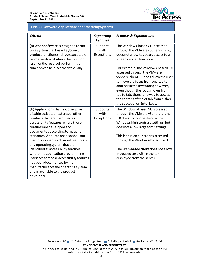

## **1194.21 Software Applications and Operating Systems 1194.21 Software Applications and Operating Systems**

| <b>Criteria</b>                                                                                                                                                                                                                                                                                                                                                                                                                                                                                                                                                                                   | <b>Supporting</b><br><b>Features</b> | <b>Remarks &amp; Explanations</b>                                                                                                                                                                                                                                                                                                                                                                                                                                                          |
|---------------------------------------------------------------------------------------------------------------------------------------------------------------------------------------------------------------------------------------------------------------------------------------------------------------------------------------------------------------------------------------------------------------------------------------------------------------------------------------------------------------------------------------------------------------------------------------------------|--------------------------------------|--------------------------------------------------------------------------------------------------------------------------------------------------------------------------------------------------------------------------------------------------------------------------------------------------------------------------------------------------------------------------------------------------------------------------------------------------------------------------------------------|
| (a) When software is designed to run<br>on a system that has a keyboard,<br>product functions shall be executable<br>from a keyboard where the function<br>itself or the result of performing a<br>function can be discerned textually.                                                                                                                                                                                                                                                                                                                                                           | Supports<br>with<br>Exceptions       | The Windows-based GUI accessed<br>through the VMware vSphere client,<br>does not allow keyboard access to all<br>screens and all functions.<br>For example, the Windows-based GUI<br>accessed through the VMware<br>vSphere client 5.0 does allow the user<br>to move the focus from one tab to<br>another in the Inventory; however,<br>even though the focus moves from<br>tab to tab, there is no way to access<br>the content of the of tab from either<br>the spacebar or Enter keys. |
| (b) Applications shall not disrupt or<br>disable activated features of other<br>products that are identified as<br>accessibility features, where those<br>features are developed and<br>documented according to industry<br>standards. Applications also shall not<br>disrupt or disable activated features of<br>any operating system that are<br>identified as accessibility features<br>where the application programming<br>interface for those accessibility features<br>has been documented by the<br>manufacturer of the operating system<br>and is available to the product<br>developer. | Supports<br>with<br>Exceptions       | The Windows-based GUI accessed<br>through the VMware vSphere client<br>5.0 does honor or extend some<br>Windows high contrast settings, but<br>does not allow large font settings.<br>This is true on all screens accessed<br>through the Windows-based client.<br>The Web-based client does not allow<br>increased text within the text<br>displayed from the server.                                                                                                                     |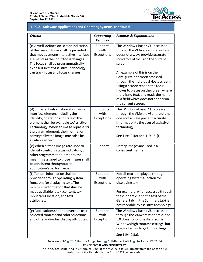

## **1194.21 Software Applications and Operating Systems, continued 1194.21 Software Applications and Operating Systems, continued**

| <b>Criteria</b>                                                                                                                                                                                                                                                                                         | <b>Supporting</b><br><b>Features</b> | <b>Remarks &amp; Explanations</b>                                                                                                                                                                                                                                                                                                                                                                                                                  |
|---------------------------------------------------------------------------------------------------------------------------------------------------------------------------------------------------------------------------------------------------------------------------------------------------------|--------------------------------------|----------------------------------------------------------------------------------------------------------------------------------------------------------------------------------------------------------------------------------------------------------------------------------------------------------------------------------------------------------------------------------------------------------------------------------------------------|
| (c) A well-defined on-screen indication<br>of the current focus shall be provided<br>that moves among interactive interface<br>elements as the input focus changes.<br>The focus shall be programmatically<br>exposed so that Assistive Technology<br>can track focus and focus changes.                | Supports<br>with<br>Exceptions       | The Windows-based GUI accessed<br>through the VMware vSphere client<br>does not always provide accurate<br>indicators of focus on the current<br>screen.<br>An example of this is on the<br>Configuration screen accessed<br>through the individual Hosts screen.<br>Using a screen reader, the focus<br>moves to places on the screen where<br>there is no text, and reads the name<br>of a field which does not appear on<br>the current screen. |
| (d) Sufficient information about a user<br>interface element including the<br>identity, operation and state of the<br>element shall be available to Assistive<br>Technology. When an image represents<br>a program element, the information<br>conveyed by the image must also be<br>available in text. | Supports<br>with<br>Exceptions       | The Windows-based GUI accessed<br>through the VMware vSphere client<br>does not always present accurate<br>information to the user of assistive<br>technology.<br>See 1194.21(c) and 1194.21(f).                                                                                                                                                                                                                                                   |
| (e) When bitmap images are used to<br>identify controls, status indicators, or<br>other programmatic elements, the<br>meaning assigned to those images shall<br>be consistent throughout an<br>application's performance.                                                                               | Supports                             | Bitmap images are used in a<br>consistent manner.                                                                                                                                                                                                                                                                                                                                                                                                  |
| (f) Textual information shall be<br>provided through operating system<br>functions for displaying text. The<br>minimum information that shall be<br>made available is text content, text<br>input caret location, and text<br>attributes.                                                               | Supports<br>with<br>Exceptions       | Not all text is displayed through<br>operating system function for<br>displaying text.<br>For example, when accessed through<br>the vSphere client, the text of the<br>General tab (in the Summary tab) is<br>not readable by assistive technology.                                                                                                                                                                                                |
| (g) Applications shall not override user<br>selected contrast and color selections<br>and other individual display attributes.                                                                                                                                                                          | Supports<br>with<br>Exceptions       | The Windows-based GUI accessed<br>through the VMware vSphere client<br>5.0 does honor or extend some<br>Windows high contrast settings, but<br>does not allow large font settings.<br>See 1194.21(a).                                                                                                                                                                                                                                              |

TecAccess LLC 2410 Granite Ridge Road Building A, Unit 1 Rockville, VA 23146 **CONFIDENTIAL AND PROPRIETARY**

The language contained in criteria column of the VPAT© is taken directly from the Section 508 provisions of the Rehabilitation Act of 1973, as amended.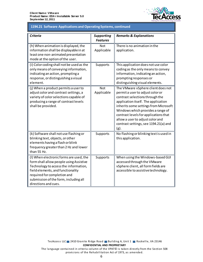

#### 1194.21 Software Applications and Operating Systems, continued **1194.21 Software Applications and Operating Systems, continued**

| <b>Criteria</b>                                                                                                                                                                                                                                                  | <b>Supporting</b><br><b>Features</b> | <b>Remarks &amp; Explanations</b>                                                                                                                                                                                                                                                                                                                               |
|------------------------------------------------------------------------------------------------------------------------------------------------------------------------------------------------------------------------------------------------------------------|--------------------------------------|-----------------------------------------------------------------------------------------------------------------------------------------------------------------------------------------------------------------------------------------------------------------------------------------------------------------------------------------------------------------|
| (h) When animation is displayed, the<br>information shall be displayable in at<br>least one non-animated presentation<br>mode at the option of the user.                                                                                                         | <b>Not</b><br>Applicable             | There is no animation in the<br>application.                                                                                                                                                                                                                                                                                                                    |
| (i) Color coding shall not be used as the<br>only means of conveying information,<br>indicating an action, prompting a<br>response, or distinguishing a visual<br>element.                                                                                       | Supports                             | This application does not use color<br>coding as the only means to convey<br>information, indicating an action,<br>prompting responses or<br>distinguishing visual elements.                                                                                                                                                                                    |
| (j) When a product permits a user to<br>adjust color and contrast settings, a<br>variety of color selections capable of<br>producing a range of contrast levels<br>shall be provided.                                                                            | <b>Not</b><br>Applicable             | The VMware vSphere client does not<br>permit a user to adjust color or<br>contrast selections through the<br>application itself. The application<br>inherits some settings from Microsoft<br>Windows which provides a range of<br>contrast levels for applications that<br>allow a user to adjust color and<br>contrast settings, see 1194.21(a) and<br>$(g)$ . |
| (k) Software shall not use flashing or<br>blinking text, objects, or other<br>elements having a flash or blink<br>frequency greater than 2 Hz and lower<br>than 55 Hz.                                                                                           | Supports                             | No flashing or blinking text is used in<br>this application.                                                                                                                                                                                                                                                                                                    |
| (I) When electronic forms are used, the<br>form shall allow people using Assistive<br>Technology to access the information,<br>field elements, and functionality<br>required for completion and<br>submission of the form, including all<br>directions and cues. | Supports                             | When using the Windows-based GUI<br>accessed through the VMware<br>vSphere client, all form fields are<br>accessible to assistive technology.                                                                                                                                                                                                                   |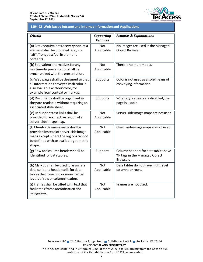

#### **1194.22 Web-based Intranet and Internet Information and Applications**

| <b>Criteria</b>                                                                                                                                                          | <b>Supporting</b><br><b>Features</b> | <b>Remarks &amp; Explanations</b>                                                |
|--------------------------------------------------------------------------------------------------------------------------------------------------------------------------|--------------------------------------|----------------------------------------------------------------------------------|
| (a) A text equivalent for every non-text<br>element shall be provided (e.g., via<br>"alt", "longdesc", or in element<br>content).                                        | <b>Not</b><br>Applicable             | No images are used in the Managed<br>Object Browser.                             |
| (b) Equivalent alternatives for any<br>multimedia presentation shall be<br>synchronized with the presentation.                                                           | <b>Not</b><br>Applicable             | There is no multimedia.                                                          |
| (c) Web pages shall be designed so that<br>all information conveyed with color is<br>also available without color, for<br>example from context or markup.                | Supports                             | Color is not used as a sole means of<br>conveying information.                   |
| (d) Documents shall be organized so<br>they are readable without requiring an<br>associated style sheet.                                                                 | Supports                             | When style sheets are disabled, the<br>page is usable.                           |
| (e) Redundant text links shall be<br>provided for each active region of a<br>server-side image map.                                                                      | Not<br>Applicable                    | Server-side image maps are not used.                                             |
| (f) Client-side image maps shall be<br>provided instead of server-side image<br>maps except where the regions cannot<br>be defined with an available geometric<br>shape. | <b>Not</b><br>Applicable             | Client-side image maps are not used.                                             |
| (g) Row and column headers shall be<br>identified for data tables.                                                                                                       | Supports                             | Column headers for data tables have<br>TH tags in the Managed Object<br>Browser. |
| (h) Markup shall be used to associate<br>data cells and header cells for data<br>tables that have two or more logical<br>levels of row or column headers.                | <b>Not</b><br>Applicable             | Data tables do not have multilevel<br>columns or rows.                           |
| (i) Frames shall be titled with text that<br>facilitates frame identification and<br>navigation.                                                                         | <b>Not</b><br>Applicable             | Frames are not used.                                                             |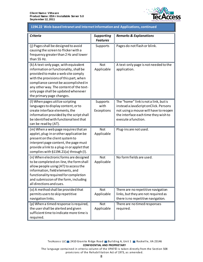

## **1194.22 Web-based Intranet and Internet Information and Applications, continued 1194.22 Web-based Intranet and Internet Information and Applications, continued**

| <b>Criteria</b>                                                                                                                                                                                                                                                                                                        | <b>Supporting</b><br><b>Features</b> | <b>Remarks &amp; Explanations</b>                                                                                                                                                      |
|------------------------------------------------------------------------------------------------------------------------------------------------------------------------------------------------------------------------------------------------------------------------------------------------------------------------|--------------------------------------|----------------------------------------------------------------------------------------------------------------------------------------------------------------------------------------|
| (j) Pages shall be designed to avoid<br>causing the screen to flicker with a<br>frequency greater than 2 Hz and lower<br>than 55 Hz.                                                                                                                                                                                   | Supports                             | Pages do not flash or blink.                                                                                                                                                           |
| (k) A text-only page, with equivalent<br>information or functionality, shall be<br>provided to make a web site comply<br>with the provisions of this part, when<br>compliance cannot be accomplished in<br>any other way. The content of the text-<br>only page shall be updated whenever<br>the primary page changes. | <b>Not</b><br>Applicable             | A text-only page is not needed to the<br>application.                                                                                                                                  |
| (I) When pages utilize scripting<br>languages to display content, or to<br>create interface elements, the<br>information provided by the script shall<br>be identified with functional text that<br>can be read by (AT).                                                                                               | Supports<br>with<br>Exceptions       | The "home" link is not a link, but is<br>instead a JavaScript onClick. Persons<br>not using a mouse will have to reopen<br>the interface each time they wish to<br>execute a function. |
| (m) When a web page requires that an<br>applet, plug-in or other application be<br>present on the client system to<br>interpret page content, the page must<br>provide a link to a plug-in or applet that<br>complies with §1194.21(a) through (I).                                                                    | Not<br>Applicable                    | Plug-ins are not used.                                                                                                                                                                 |
| (n) When electronic forms are designed<br>to be completed on-line, the form shall<br>allow people using (AT) to access the<br>information, field elements, and<br>functionality required for completion<br>and submission of the form, including<br>all directions and cues.                                           | Not<br>Applicable                    | No form fields are used.                                                                                                                                                               |
| (o) A method shall be provided that<br>permits users to skip repetitive<br>navigation links.                                                                                                                                                                                                                           | <b>Not</b><br>Applicable             | There are no repetitive navigation<br>links, but they are not required as<br>there is no repetitive navigation.                                                                        |
| (p) When a timed response is required,<br>the user shall be alerted and given<br>sufficient time to indicate more time is<br>required.                                                                                                                                                                                 | <b>Not</b><br>Applicable             | There are no timed responses<br>required.                                                                                                                                              |

provisions of the Rehabilitation Act of 1973, as amended.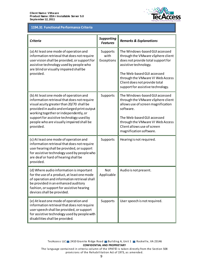

# **1194.31 Functional Performance Criteria 1194.31 Functional Performance Criteria**

| <b>Criteria</b>                                                                                                                                                                                                                                                                                                                  | <b>Supporting</b><br><b>Features</b> | <b>Remarks &amp; Explanations</b>                                                                                                                                                                                                                                          |
|----------------------------------------------------------------------------------------------------------------------------------------------------------------------------------------------------------------------------------------------------------------------------------------------------------------------------------|--------------------------------------|----------------------------------------------------------------------------------------------------------------------------------------------------------------------------------------------------------------------------------------------------------------------------|
| (a) At least one mode of operation and<br>information retrieval that does not require<br>user vision shall be provided, or support for<br>assistive technology used by people who<br>are blind or visually impaired shall be<br>provided.                                                                                        | Supports<br>with<br>Exceptions       | The Windows-based GUI accessed<br>through the VMware vSphere client<br>does not provide total support for<br>assistive technology.<br>The Web-based GUI accessed<br>through the VMware VI Web Access<br>Client does not provide total<br>support for assistive technology. |
| (b) At least one mode of operation and<br>information retrieval that does not require<br>visual acuity greater than 20/70 shall be<br>provided in audio and enlarged print output<br>working together or independently, or<br>support for assistive technology used by<br>people who are visually impaired shall be<br>provided. | Supports                             | The Windows-based GUI accessed<br>through the VMware vSphere client<br>allows use of screen magnification<br>software.<br>The Web-based GUI accessed<br>through the VMware VI Web Access<br>Client allows use of screen<br>magnification software.                         |
| (c) At least one mode of operation and<br>information retrieval that does not require<br>user hearing shall be provided, or support<br>for assistive technology used by people who<br>are deaf or hard of hearing shall be<br>provided.                                                                                          | Supports                             | Hearing is not required.                                                                                                                                                                                                                                                   |
| (d) Where audio information is important<br>for the use of a product, at least one mode<br>of operation and information retrieval shall<br>be provided in an enhanced auditory<br>fashion, or support for assistive hearing<br>devices shall be provided.                                                                        | <b>Not</b><br>Applicable             | Audio is not present.                                                                                                                                                                                                                                                      |
| (e) At least one mode of operation and<br>information retrieval that does not require<br>user speech shall be provided, or support<br>for assistive technology used by people with<br>disabilities shall be provided.                                                                                                            | Supports                             | User speech is not required.                                                                                                                                                                                                                                               |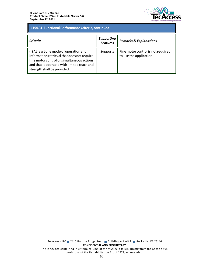

# 1194.31 Functional Performance Criteria, continued **1194.31 Functional Performance Criteria, continued**

| Criteria                                                                                                                                                                                                          | <b>Supporting</b><br><b>Features</b> | <b>Remarks &amp; Explanations</b>                             |
|-------------------------------------------------------------------------------------------------------------------------------------------------------------------------------------------------------------------|--------------------------------------|---------------------------------------------------------------|
| (f) At least one mode of operation and<br>information retrieval that does not require<br>fine motor control or simultaneous actions<br>and that is operable with limited reach and<br>strength shall be provided. | Supports                             | Fine motor control is not required<br>to use the application. |